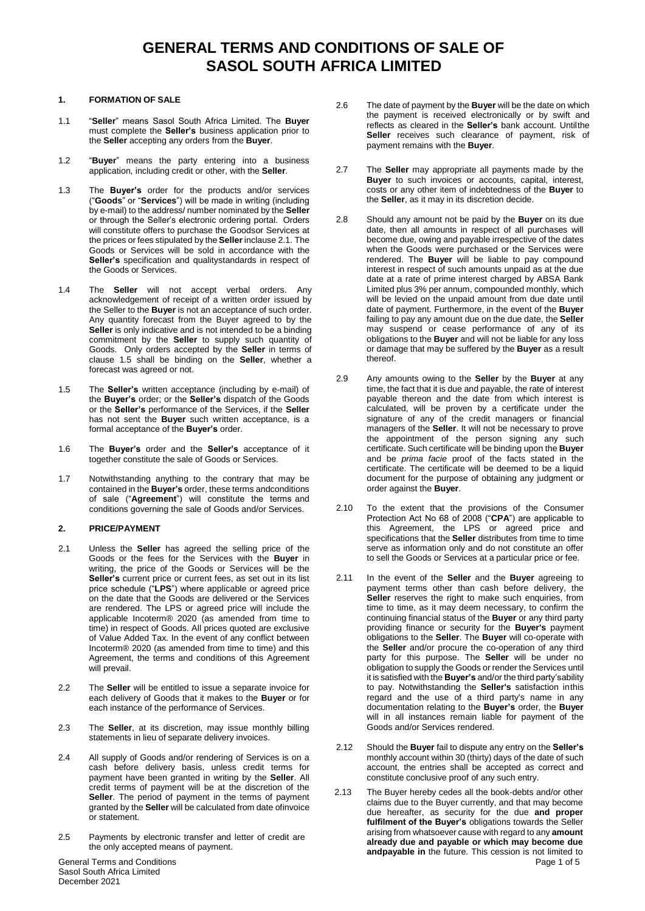#### **1. FORMATION OF SALE**

- 1.1 "**Seller**" means Sasol South Africa Limited. The **Buyer** must complete the **Seller's** business application prior to the **Seller** accepting any orders from the **Buyer**.
- 1.2 "**Buyer**" means the party entering into a business application, including credit or other, with the **Seller**.
- 1.3 The **Buyer's** order for the products and/or services ("**Goods**" or "**Services**") will be made in writing (including by e-mail) to the address/ number nominated by the **Seller** or through the Seller's electronic ordering portal. Orders will constitute offers to purchase the Goodsor Services at the prices or fees stipulated by the **Seller** inclause 2.1. The Goods or Services will be sold in accordance with the **Seller's** specification and qualitystandards in respect of the Goods or Services.
- 1.4 The **Seller** will not accept verbal orders. Any acknowledgement of receipt of a written order issued by the Seller to the **Buyer** is not an acceptance of such order. Any quantity forecast from the Buyer agreed to by the **Seller** is only indicative and is not intended to be a binding commitment by the **Seller** to supply such quantity of Goods. Only orders accepted by the **Seller** in terms of clause 1.5 shall be binding on the **Seller**, whether a forecast was agreed or not.
- 1.5 The **Seller's** written acceptance (including by e-mail) of the **Buyer's** order; or the **Seller's** dispatch of the Goods or the **Seller's** performance of the Services, if the **Seller** has not sent the **Buyer** such written acceptance, is a formal acceptance of the **Buyer's** order.
- 1.6 The **Buyer's** order and the **Seller's** acceptance of it together constitute the sale of Goods or Services.
- 1.7 Notwithstanding anything to the contrary that may be contained in the **Buyer's** order, these terms andconditions of sale ("**Agreement**") will constitute the terms and conditions governing the sale of Goods and/or Services.

### **2. PRICE/PAYMENT**

- 2.1 Unless the **Seller** has agreed the selling price of the Goods or the fees for the Services with the **Buyer** in writing, the price of the Goods or Services will be the **Seller's** current price or current fees, as set out in its list price schedule ("**LPS**") where applicable or agreed price on the date that the Goods are delivered or the Services are rendered. The LPS or agreed price will include the applicable Incoterm® 2020 (as amended from time to time) in respect of Goods. All prices quoted are exclusive of Value Added Tax. In the event of any conflict between Incoterm® 2020 (as amended from time to time) and this Agreement, the terms and conditions of this Agreement will prevail.
- 2.2 The **Seller** will be entitled to issue a separate invoice for each delivery of Goods that it makes to the **Buyer** or for each instance of the performance of Services.
- 2.3 The **Seller**, at its discretion, may issue monthly billing statements in lieu of separate delivery invoices.
- 2.4 All supply of Goods and/or rendering of Services is on a cash before delivery basis, unless credit terms for payment have been granted in writing by the **Seller**. All credit terms of payment will be at the discretion of the **Seller**. The period of payment in the terms of payment granted by the **Seller** will be calculated from date ofinvoice or statement.
- 2.5 Payments by electronic transfer and letter of credit are the only accepted means of payment.
- 2.6 The date of payment by the **Buyer** will be the date on which the payment is received electronically or by swift and reflects as cleared in the **Seller's** bank account. Untilthe Seller receives such clearance of payment, risk of payment remains with the **Buyer**.
- 2.7 The **Seller** may appropriate all payments made by the **Buyer** to such invoices or accounts, capital, interest, costs or any other item of indebtedness of the **Buyer** to the **Seller**, as it may in its discretion decide.
- 2.8 Should any amount not be paid by the **Buyer** on its due date, then all amounts in respect of all purchases will become due, owing and payable irrespective of the dates when the Goods were purchased or the Services were rendered. The **Buyer** will be liable to pay compound interest in respect of such amounts unpaid as at the due date at a rate of prime interest charged by ABSA Bank Limited plus 3% per annum, compounded monthly, which will be levied on the unpaid amount from due date until date of payment. Furthermore, in the event of the **Buyer** failing to pay any amount due on the due date, the **Seller** may suspend or cease performance of any of its obligations to the **Buyer** and will not be liable for any loss or damage that may be suffered by the **Buyer** as a result thereof.
- 2.9 Any amounts owing to the **Seller** by the **Buyer** at any time, the fact that it is due and payable, the rate of interest payable thereon and the date from which interest is calculated, will be proven by a certificate under the signature of any of the credit managers or financial managers of the **Seller**. It will not be necessary to prove the appointment of the person signing any such certificate. Such certificate will be binding upon the **Buyer** and be *prima facie* proof of the facts stated in the certificate. The certificate will be deemed to be a liquid document for the purpose of obtaining any judgment or order against the **Buyer**.
- 2.10 To the extent that the provisions of the Consumer Protection Act No 68 of 2008 ("**CPA**") are applicable to this Agreement, the LPS or agreed price and specifications that the **Seller** distributes from time to time serve as information only and do not constitute an offer to sell the Goods or Services at a particular price or fee.
- 2.11 In the event of the **Seller** and the **Buyer** agreeing to payment terms other than cash before delivery, the **Seller** reserves the right to make such enquiries, from time to time, as it may deem necessary, to confirm the continuing financial status of the **Buyer** or any third party providing finance or security for the **Buyer's** payment obligations to the **Seller**. The **Buyer** will co-operate with the **Seller** and/or procure the co-operation of any third party for this purpose. The **Seller** will be under no obligation to supply the Goods or render the Services until it is satisfied with the **Buyer's** and/or the third party'sability to pay. Notwithstanding the **Seller's** satisfaction inthis regard and the use of a third party's name in any documentation relating to the **Buyer's** order, the **Buyer** will in all instances remain liable for payment of the Goods and/or Services rendered.
- 2.12 Should the **Buyer** fail to dispute any entry on the **Seller's** monthly account within 30 (thirty) days of the date of such account, the entries shall be accepted as correct and constitute conclusive proof of any such entry.
- Page 1 of 5 2.13 The Buyer hereby cedes all the book-debts and/or other claims due to the Buyer currently, and that may become due hereafter, as security for the due **and proper fulfilment of the Buyer's** obligations towards the Seller arising from whatsoever cause with regard to any **amount already due and payable or which may become due andpayable in** the future. This cession is not limited to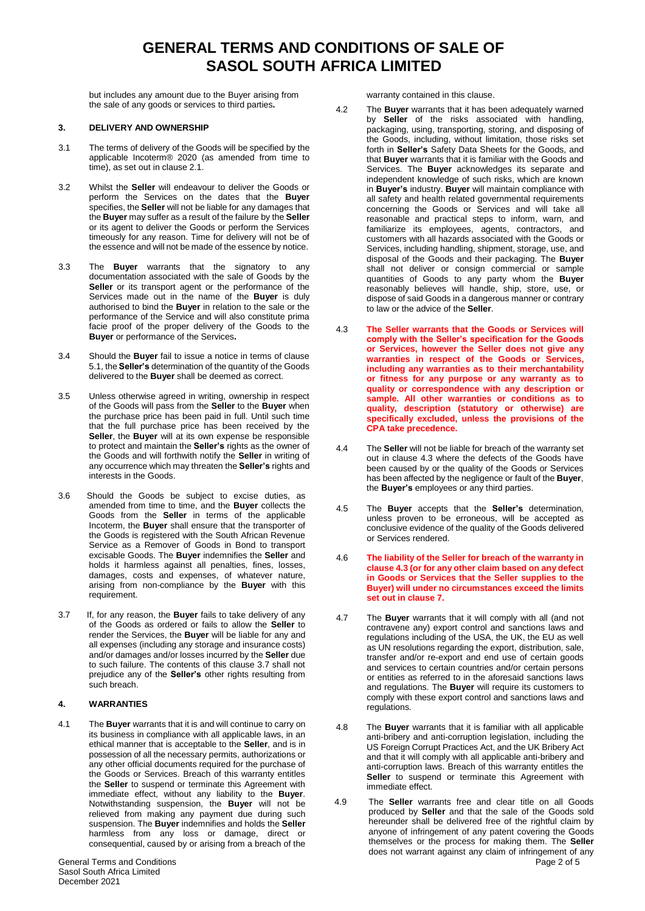but includes any amount due to the Buyer arising from the sale of any goods or services to third parties**.**

### **3. DELIVERY AND OWNERSHIP**

- 3.1 The terms of delivery of the Goods will be specified by the applicable Incoterm® 2020 (as amended from time to time), as set out in clause 2.1.
- 3.2 Whilst the **Seller** will endeavour to deliver the Goods or perform the Services on the dates that the **Buyer** specifies, the **Seller** will not be liable for any damages that the **Buyer** may suffer as a result of the failure by the **Seller** or its agent to deliver the Goods or perform the Services timeously for any reason. Time for delivery will not be of the essence and will not be made of the essence by notice.
- 3.3 The **Buyer** warrants that the signatory to any documentation associated with the sale of Goods by the Seller or its transport agent or the performance of the Services made out in the name of the **Buyer** is duly authorised to bind the **Buyer** in relation to the sale or the performance of the Service and will also constitute prima facie proof of the proper delivery of the Goods to the **Buyer** or performance of the Services**.**
- 3.4 Should the **Buyer** fail to issue a notice in terms of clause 5.1, the **Seller's** determination of the quantity of the Goods delivered to the **Buyer** shall be deemed as correct.
- 3.5 Unless otherwise agreed in writing, ownership in respect of the Goods will pass from the **Seller** to the **Buyer** when the purchase price has been paid in full. Until such time that the full purchase price has been received by the **Seller**, the **Buyer** will at its own expense be responsible to protect and maintain the **Seller's** rights as the owner of the Goods and will forthwith notify the **Seller** in writing of any occurrence which may threaten the **Seller's** rights and interests in the Goods.
- 3.6 Should the Goods be subject to excise duties, as amended from time to time, and the **Buyer** collects the Goods from the **Seller** in terms of the applicable Incoterm, the **Buyer** shall ensure that the transporter of the Goods is registered with the South African Revenue Service as a Remover of Goods in Bond to transport excisable Goods. The **Buyer** indemnifies the **Seller** and holds it harmless against all penalties, fines, losses, damages, costs and expenses, of whatever nature, arising from non-compliance by the **Buyer** with this requirement.
- 3.7 If, for any reason, the **Buyer** fails to take delivery of any of the Goods as ordered or fails to allow the **Seller** to render the Services, the **Buyer** will be liable for any and all expenses (including any storage and insurance costs) and/or damages and/or losses incurred by the **Seller** due to such failure. The contents of this clause 3.7 shall not prejudice any of the **Seller's** other rights resulting from such breach.

### **4. WARRANTIES**

4.1 The **Buyer** warrants that it is and will continue to carry on its business in compliance with all applicable laws, in an ethical manner that is acceptable to the **Seller**, and is in possession of all the necessary permits, authorizations or any other official documents required for the purchase of the Goods or Services. Breach of this warranty entitles the **Seller** to suspend or terminate this Agreement with immediate effect, without any liability to the **Buyer**. Notwithstanding suspension, the **Buyer** will not be relieved from making any payment due during such suspension. The **Buyer** indemnifies and holds the **Seller**  harmless from any loss or damage, direct or consequential, caused by or arising from a breach of the

warranty contained in this clause.

- 4.2 The **Buyer** warrants that it has been adequately warned by **Seller** of the risks associated with handling, packaging, using, transporting, storing, and disposing of the Goods, including, without limitation, those risks set forth in **Seller's** Safety Data Sheets for the Goods, and that **Buyer** warrants that it is familiar with the Goods and Services. The **Buyer** acknowledges its separate and independent knowledge of such risks, which are known in **Buyer's** industry. **Buyer** will maintain compliance with all safety and health related governmental requirements concerning the Goods or Services and will take all reasonable and practical steps to inform, warn, and familiarize its employees, agents, contractors, and customers with all hazards associated with the Goods or Services, including handling, shipment, storage, use, and disposal of the Goods and their packaging. The **Buyer** shall not deliver or consign commercial or sample quantities of Goods to any party whom the **Buyer** reasonably believes will handle, ship, store, use, or dispose of said Goods in a dangerous manner or contrary to law or the advice of the **Seller**.
- 4.3 **The Seller warrants that the Goods or Services will comply with the Seller's specification for the Goods or Services, however the Seller does not give any warranties in respect of the Goods or Services, including any warranties as to their merchantability or fitness for any purpose or any warranty as to quality or correspondence with any description or sample. All other warranties or conditions as to quality, description (statutory or otherwise) are specifically excluded, unless the provisions of the CPA take precedence.**
- 4.4 The **Seller** will not be liable for breach of the warranty set out in clause 4.3 where the defects of the Goods have been caused by or the quality of the Goods or Services has been affected by the negligence or fault of the **Buyer**, the **Buyer's** employees or any third parties.
- 4.5 The **Buyer** accepts that the **Seller's** determination, unless proven to be erroneous, will be accepted as conclusive evidence of the quality of the Goods delivered or Services rendered.
- 4.6 **The liability of the Seller for breach of the warranty in clause 4.3 (or for any other claim based on any defect in Goods or Services that the Seller supplies to the Buyer) will under no circumstances exceed the limits set out in clause 7.**
- 4.7 The **Buyer** warrants that it will comply with all (and not contravene any) export control and sanctions laws and regulations including of the USA, the UK, the EU as well as UN resolutions regarding the export, distribution, sale, transfer and/or re-export and end use of certain goods and services to certain countries and/or certain persons or entities as referred to in the aforesaid sanctions laws and regulations. The **Buyer** will require its customers to comply with these export control and sanctions laws and regulations*.*
- 4.8 The **Buyer** warrants that it is familiar with all applicable anti-bribery and anti-corruption legislation, including the US Foreign Corrupt Practices Act, and the UK Bribery Act and that it will comply with all applicable anti-bribery and anti-corruption laws. Breach of this warranty entitles the **Seller** to suspend or terminate this Agreement with immediate effect.
- 4.9 The **Seller** warrants free and clear title on all Goods produced by **Seller** and that the sale of the Goods sold hereunder shall be delivered free of the rightful claim by anyone of infringement of any patent covering the Goods themselves or the process for making them. The **Seller** does not warrant against any claim of infringement of any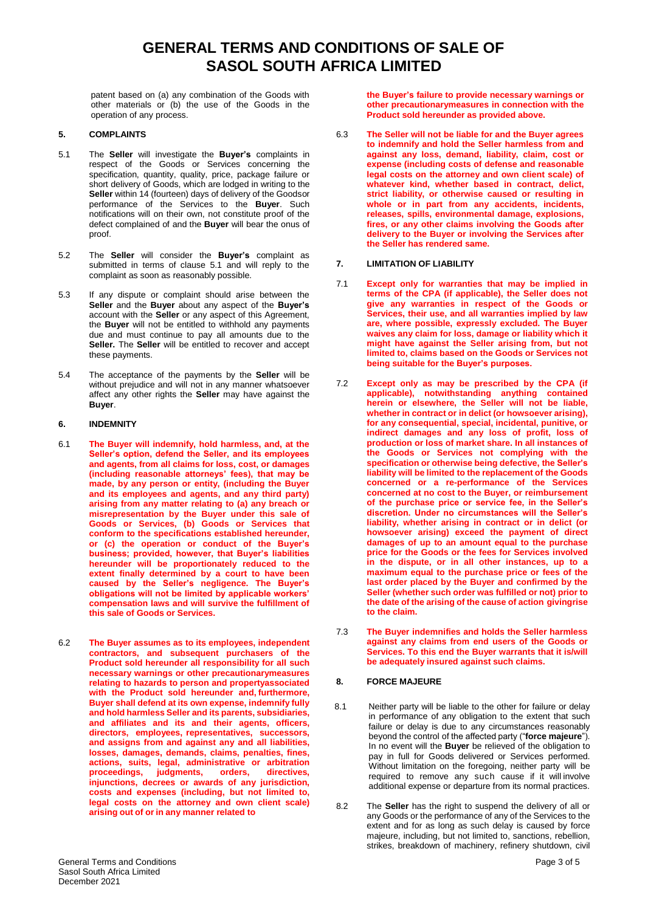patent based on (a) any combination of the Goods with other materials or (b) the use of the Goods in the operation of any process.

### **5. COMPLAINTS**

- 5.1 The **Seller** will investigate the **Buyer's** complaints in respect of the Goods or Services concerning the specification, quantity, quality, price, package failure or short delivery of Goods, which are lodged in writing to the **Seller** within 14 (fourteen) days of delivery of the Goodsor performance of the Services to the **Buyer**. Such notifications will on their own, not constitute proof of the defect complained of and the **Buyer** will bear the onus of proof.
- 5.2 The **Seller** will consider the **Buyer's** complaint as submitted in terms of clause 5.1 and will reply to the complaint as soon as reasonably possible.
- 5.3 If any dispute or complaint should arise between the **Seller** and the **Buyer** about any aspect of the **Buyer's** account with the **Seller** or any aspect of this Agreement, the **Buyer** will not be entitled to withhold any payments due and must continue to pay all amounts due to the **Seller.** The **Seller** will be entitled to recover and accept these payments.
- 5.4 The acceptance of the payments by the **Seller** will be without prejudice and will not in any manner whatsoever affect any other rights the **Seller** may have against the **Buyer**.

### **6. INDEMNITY**

- 6.1 **The Buyer will indemnify, hold harmless, and, at the Seller's option, defend the Seller, and its employees and agents, from all claims for loss, cost, or damages (including reasonable attorneys' fees), that may be made, by any person or entity, (including the Buyer and its employees and agents, and any third party) arising from any matter relating to (a) any breach or misrepresentation by the Buyer under this sale of Goods or Services, (b) Goods or Services that conform to the specifications established hereunder, or (c) the operation or conduct of the Buyer's business; provided, however, that Buyer's liabilities hereunder will be proportionately reduced to the extent finally determined by a court to have been caused by the Seller's negligence. The Buyer's obligations will not be limited by applicable workers' compensation laws and will survive the fulfillment of this sale of Goods or Services.**
- 6.2 **The Buyer assumes as to its employees, independent contractors, and subsequent purchasers of the Product sold hereunder all responsibility for all such necessary warnings or other precautionarymeasures relating to hazards to person and propertyassociated with the Product sold hereunder and, furthermore, Buyer shall defend at its own expense, indemnify fully and hold harmless Seller and its parents, subsidiaries, and affiliates and its and their agents, officers, directors, employees, representatives, successors, and assigns from and against any and all liabilities, losses, damages, demands, claims, penalties, fines, actions, suits, legal, administrative or arbitration proceedings, judgments, orders, directives, injunctions, decrees or awards of any jurisdiction, costs and expenses (including, but not limited to, legal costs on the attorney and own client scale) arising out of or in any manner related to**

**the Buyer's failure to provide necessary warnings or other precautionarymeasures in connection with the Product sold hereunder as provided above.**

6.3 **The Seller will not be liable for and the Buyer agrees to indemnify and hold the Seller harmless from and against any loss, demand, liability, claim, cost or expense (including costs of defense and reasonable legal costs on the attorney and own client scale) of whatever kind, whether based in contract, delict, strict liability, or otherwise caused or resulting in whole or in part from any accidents, incidents, releases, spills, environmental damage, explosions, fires, or any other claims involving the Goods after delivery to the Buyer or involving the Services after the Seller has rendered same.**

### **7. LIMITATION OF LIABILITY**

- 7.1 **Except only for warranties that may be implied in terms of the CPA (if applicable), the Seller does not give any warranties in respect of the Goods or Services, their use, and all warranties implied by law are, where possible, expressly excluded. The Buyer waives any claim for loss, damage or liability which it might have against the Seller arising from, but not limited to, claims based on the Goods or Services not being suitable for the Buyer's purposes.**
- 7.2 **Except only as may be prescribed by the CPA (if applicable), notwithstanding anything contained herein or elsewhere, the Seller will not be liable, whether in contract or in delict (or howsoever arising), for any consequential, special, incidental, punitive, or indirect damages and any loss of profit, loss of production or loss of market share. In all instances of the Goods or Services not complying with the specification or otherwise being defective, the Seller's liability will be limited to the replacement of the Goods concerned or a re-performance of the Services concerned at no cost to the Buyer, or reimbursement of the purchase price or service fee, in the Seller's discretion. Under no circumstances will the Seller's liability, whether arising in contract or in delict (or howsoever arising) exceed the payment of direct damages of up to an amount equal to the purchase price for the Goods or the fees for Services involved in the dispute, or in all other instances, up to a maximum equal to the purchase price or fees of the last order placed by the Buyer and confirmed by the Seller (whether such order was fulfilled or not) prior to the date of the arising of the cause of action givingrise to the claim.**
- 7.3 **The Buyer indemnifies and holds the Seller harmless against any claims from end users of the Goods or Services. To this end the Buyer warrants that it is/will be adequately insured against such claims.**

#### **8. FORCE MAJEURE**

- 8.1 Neither party will be liable to the other for failure or delay in performance of any obligation to the extent that such failure or delay is due to any circumstances reasonably beyond the control of the affected party ("**force majeure**"). In no event will the **Buyer** be relieved of the obligation to pay in full for Goods delivered or Services performed. Without limitation on the foregoing, neither party will be required to remove any such cause if it will involve additional expense or departure from its normal practices.
- 8.2 The **Seller** has the right to suspend the delivery of all or any Goods or the performance of any of the Services to the extent and for as long as such delay is caused by force majeure, including, but not limited to, sanctions, rebellion, strikes, breakdown of machinery, refinery shutdown, civil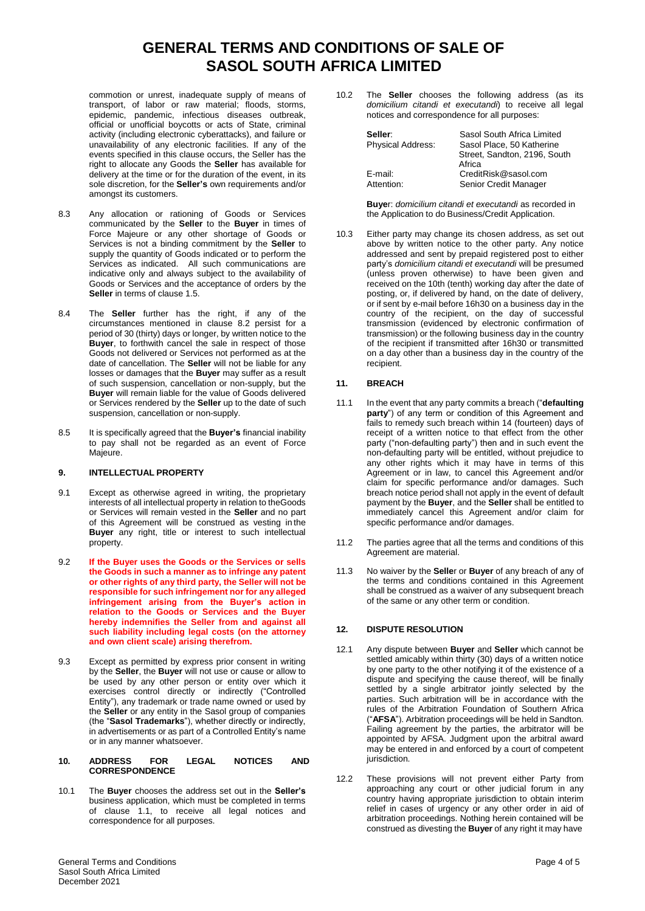commotion or unrest, inadequate supply of means of transport, of labor or raw material; floods, storms, epidemic, pandemic, infectious diseases outbreak, official or unofficial boycotts or acts of State, criminal activity (including electronic cyberattacks), and failure or unavailability of any electronic facilities. If any of the events specified in this clause occurs, the Seller has the right to allocate any Goods the **Seller** has available for delivery at the time or for the duration of the event, in its sole discretion, for the **Seller's** own requirements and/or amongst its customers.

- 8.3 Any allocation or rationing of Goods or Services communicated by the **Seller** to the **Buyer** in times of Force Majeure or any other shortage of Goods or Services is not a binding commitment by the **Seller** to supply the quantity of Goods indicated or to perform the Services as indicated. All such communications are indicative only and always subject to the availability of Goods or Services and the acceptance of orders by the **Seller** in terms of clause 1.5.
- 8.4 The **Seller** further has the right, if any of the circumstances mentioned in clause 8.2 persist for a period of 30 (thirty) days or longer, by written notice to the **Buyer**, to forthwith cancel the sale in respect of those Goods not delivered or Services not performed as at the date of cancellation. The **Seller** will not be liable for any losses or damages that the **Buyer** may suffer as a result of such suspension, cancellation or non-supply, but the **Buyer** will remain liable for the value of Goods delivered or Services rendered by the **Seller** up to the date of such suspension, cancellation or non-supply.
- 8.5 It is specifically agreed that the **Buyer's** financial inability to pay shall not be regarded as an event of Force Majeure.

### **9. INTELLECTUAL PROPERTY**

- 9.1 Except as otherwise agreed in writing, the proprietary interests of all intellectual property in relation to theGoods or Services will remain vested in the **Seller** and no part of this Agreement will be construed as vesting in the **Buyer** any right, title or interest to such intellectual property.
- 9.2 **If the Buyer uses the Goods or the Services or sells the Goods in such a manner as to infringe any patent or other rights of any third party, the Seller will not be responsible for such infringement nor for any alleged infringement arising from the Buyer's action in relation to the Goods or Services and the Buyer hereby indemnifies the Seller from and against all such liability including legal costs (on the attorney and own client scale) arising therefrom.**
- 9.3 Except as permitted by express prior consent in writing by the **Seller**, the **Buyer** will not use or cause or allow to be used by any other person or entity over which it exercises control directly or indirectly ("Controlled Entity"), any trademark or trade name owned or used by the **Seller** or any entity in the Sasol group of companies (the "**Sasol Trademarks**"), whether directly or indirectly, in advertisements or as part of a Controlled Entity's name or in any manner whatsoever.
- **10. ADDRESS FOR LEGAL NOTICES AND CORRESPONDENCE**
- 10.1 The **Buyer** chooses the address set out in the **Seller's** business application, which must be completed in terms of clause 1.1, to receive all legal notices and correspondence for all purposes.

10.2 The **Seller** chooses the following address (as its *domicilium citandi et executandi*) to receive all legal notices and correspondence for all purposes:

| Seller:<br><b>Physical Address:</b> | Sasol South Africa Limited<br>Sasol Place, 50 Katherine<br>Street, Sandton, 2196, South<br>Africa |
|-------------------------------------|---------------------------------------------------------------------------------------------------|
| E-mail:                             | CreditRisk@sasol.com                                                                              |
| Attention:                          | Senior Credit Manager                                                                             |

**Buye**r: *domicilium citandi et executandi* as recorded in the Application to do Business/Credit Application.

10.3 Either party may change its chosen address, as set out above by written notice to the other party. Any notice addressed and sent by prepaid registered post to either party's *domicilium citandi et executandi* will be presumed (unless proven otherwise) to have been given and received on the 10th (tenth) working day after the date of posting, or, if delivered by hand, on the date of delivery, or if sent by e-mail before 16h30 on a business day in the country of the recipient, on the day of successful transmission (evidenced by electronic confirmation of transmission) or the following business day in the country of the recipient if transmitted after 16h30 or transmitted on a day other than a business day in the country of the recipient.

### **11. BREACH**

- 11.1 In the event that any party commits a breach ("**defaulting** party") of any term or condition of this Agreement and fails to remedy such breach within 14 (fourteen) days of receipt of a written notice to that effect from the other party ("non-defaulting party") then and in such event the non-defaulting party will be entitled, without prejudice to any other rights which it may have in terms of this Agreement or in law, to cancel this Agreement and/or claim for specific performance and/or damages. Such breach notice period shall not apply in the event of default payment by the **Buyer**, and the **Seller** shall be entitled to immediately cancel this Agreement and/or claim for specific performance and/or damages.
- 11.2 The parties agree that all the terms and conditions of this Agreement are material.
- 11.3 No waiver by the **Selle**r or **Buyer** of any breach of any of the terms and conditions contained in this Agreement shall be construed as a waiver of any subsequent breach of the same or any other term or condition.

## **12. DISPUTE RESOLUTION**

- 12.1 Any dispute between **Buyer** and **Seller** which cannot be settled amicably within thirty (30) days of a written notice by one party to the other notifying it of the existence of a dispute and specifying the cause thereof, will be finally settled by a single arbitrator jointly selected by the parties. Such arbitration will be in accordance with the rules of the Arbitration Foundation of Southern Africa ("**AFSA**"). Arbitration proceedings will be held in Sandton. Failing agreement by the parties, the arbitrator will be appointed by AFSA. Judgment upon the arbitral award may be entered in and enforced by a court of competent jurisdiction.
- 12.2 These provisions will not prevent either Party from approaching any court or other judicial forum in any country having appropriate jurisdiction to obtain interim relief in cases of urgency or any other order in aid of arbitration proceedings. Nothing herein contained will be construed as divesting the **Buyer** of any right it may have